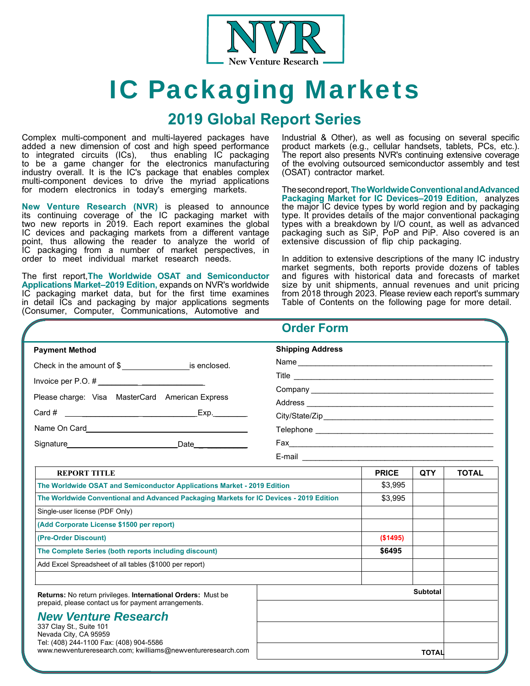

# IC Packaging Markets

#### **2019 Global Report Series**

Complex multi-component and multi-layered packages have added a new dimension of cost and high speed performance to integrated circuits (ICs), thus enabling IC packaging to be a game changer for the electronics manufacturing industry overall. It is the IC's package that enables complex multi-component devices to drive the myriad applications for modern electronics in today's emerging markets.

**New Venture Research (NVR)** is pleased to announce its continuing coverage of the IC packaging market with two new reports in 2019. Each report examines the global IC devices and packaging markets from a different vantage point, thus allowing the reader to analyze the world of IC packaging from a number of market perspectives, in order to meet individual market research needs.

The first report,**The Worldwide OSAT and Semiconductor Applications Market–2019 Edition,** expands on NVR's worldwide IC packaging market data, but for the first time examines in detail ICs and packaging by major applications segments (Consumer, Computer, Communications, Automotive and

Industrial & Other), as well as focusing on several specific product markets (e.g., cellular handsets, tablets, PCs, etc.). The report also presents NVR's continuing extensive coverage of the evolving outsourced semiconductor assembly and test (OSAT) contractor market.

The second report, **The Worldwide Conventional and Advanced Packaging Market for IC Devices–2019 Edition,** analyzes the major IC device types by world region and by packaging type. It provides details of the major conventional packaging types with a breakdown by I/O count, as well as advanced packaging such as SiP, PoP and PiP. Also covered is an extensive discussion of flip chip packaging.

In addition to extensive descriptions of the many IC industry market segments, both reports provide dozens of tables and figures with historical data and forecasts of market size by unit shipments, annual revenues and unit pricing from 2018 through 2023. Please review each report's summary Table of Contents on the following page for more detail.

|                                                                                                                                                                                                                                                                                                                                                                                                                      | <b>Order Form</b>       |                                                          |                                 |              |
|----------------------------------------------------------------------------------------------------------------------------------------------------------------------------------------------------------------------------------------------------------------------------------------------------------------------------------------------------------------------------------------------------------------------|-------------------------|----------------------------------------------------------|---------------------------------|--------------|
| <b>Payment Method</b><br>Check in the amount of \$_______________________is enclosed.<br>Invoice per P.O. $\#$<br>Please charge: Visa MasterCard American Express<br>Card $#$<br>Name On Card and the Card and the Card and the Card and the Card and the Card and the Card and the Card and the Card and the Card and the Card and the Card and the Card and the Card and the Card and the Card and the Card a      | <b>Shipping Address</b> |                                                          |                                 |              |
| <b>REPORT TITLE</b><br>The Worldwide OSAT and Semiconductor Applications Market - 2019 Edition<br>The Worldwide Conventional and Advanced Packaging Markets for IC Devices - 2019 Edition<br>Single-user license (PDF Only)<br>(Add Corporate License \$1500 per report)<br>(Pre-Order Discount)<br>The Complete Series (both reports including discount)<br>Add Excel Spreadsheet of all tables (\$1000 per report) |                         | <b>PRICE</b><br>\$3,995<br>\$3,995<br>(\$1495)<br>\$6495 | <b>QTY</b>                      | <b>TOTAL</b> |
| Returns: No return privileges. International Orders: Must be<br>prepaid, please contact us for payment arrangements.<br><b>New Venture Research</b><br>337 Clay St., Suite 101<br>Nevada City, CA 95959<br>Tel: (408) 244-1100 Fax: (408) 904-5586<br>www.newventureresearch.com; kwilliams@newventureresearch.com                                                                                                   |                         |                                                          | <b>Subtotal</b><br><b>TOTAL</b> |              |